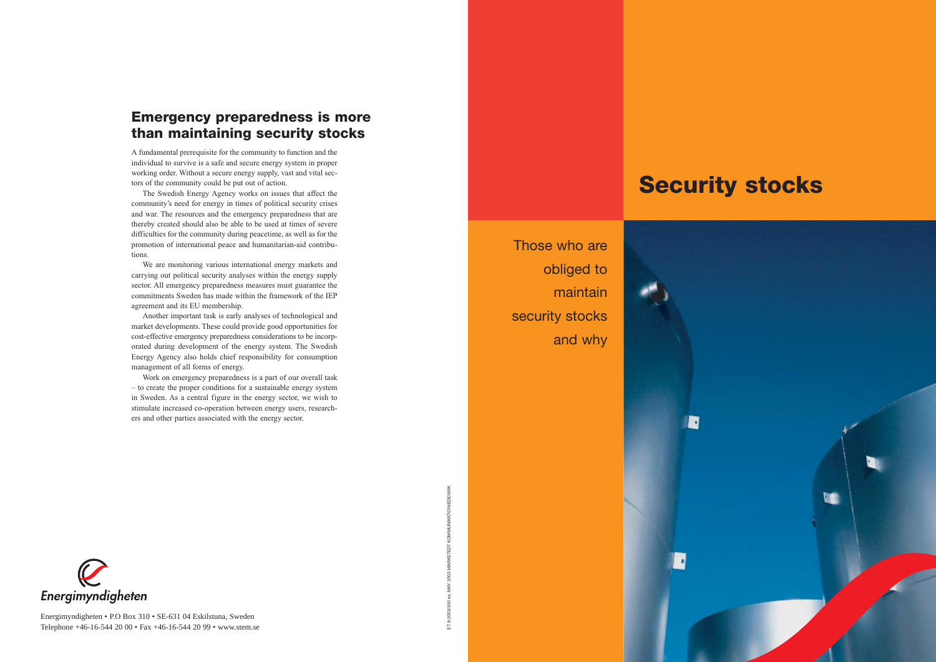



Those who areobliged to maintain security stocks and why

Energimyndigheten • P.O Box 310 • SE-631 04 Eskilstuna, Sweden



A fundamental prerequisite for the community to function and the individual to survive is a safe and secure energy system in proper working order. Without a secure energy supply, vast and vital sectors of the community could be put out of action.

The Swedish Energy Agency works on issues that affect the community's need for energy in times of political security crises and war. The resources and the emergency preparedness that are thereby created should also be able to be used at times of severe difficulties for the community during peacetime, as well as for the promotion of international peace and humanitarian-aid contributions.

We are monitoring various international energy markets and carrying out political security analyses within the energy supply sector. All emergency preparedness measures must guarantee the commitments Sweden has made within the framework of the IEP agreement and its EU membership.

Another important task is early analyses of technological and market developments. These could provide good opportunities for cost-effective emergency preparedness considerations to be incorporated during development of the energy system. The Swedish Energy Agency also holds chief responsibility for consumption management of all forms of energy.

Work on emergency preparedness is a part of our overall task – to create the proper conditions for a sustainable energy system in Sweden. As a central figure in the energy sector, we wish to stimulate increased co-operation between energy users, researchers and other parties associated with the energy sector.

## **Emergency preparedness is more than maintaining security stocks**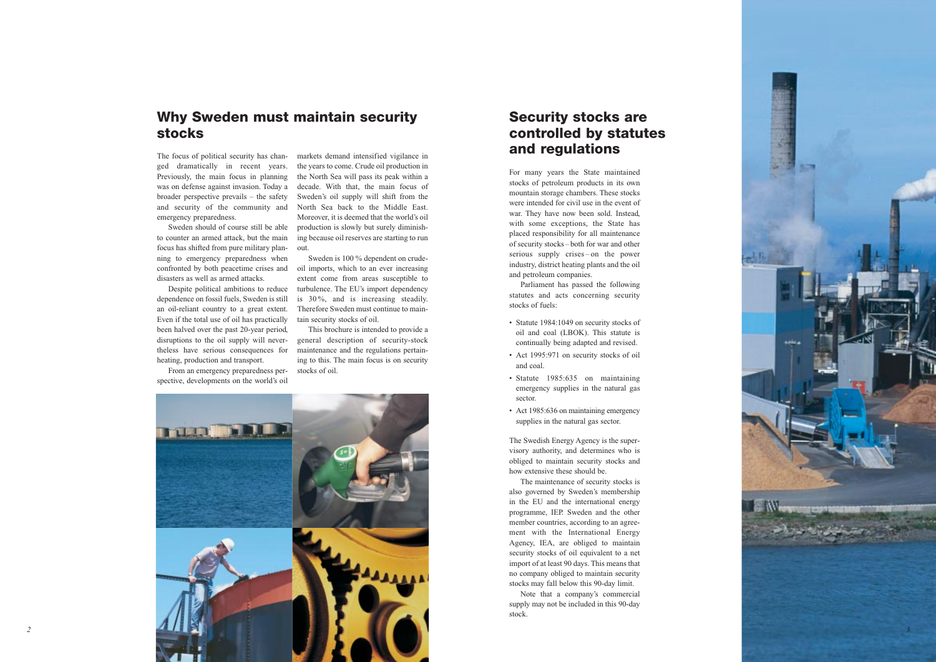For many years the State maintained stocks of petroleum products in its own mountain storage chambers. These stocks were intended for civil use in the event of war. They have now been sold. Instead, with some exceptions, the State has placed responsibility for all maintenance of security stocks – both for war and other serious supply crises – on the power industry, district heating plants and the oil and petroleum companies.

- Statute 1984:1049 on security stocks of oil and coal (LBOK). This statute is continually being adapted and revised.
- Act 1995:971 on security stocks of oil and coal.
- Statute 1985:635 on maintaining emergency supplies in the natural gas sector.
- Act 1985:636 on maintaining emergency supplies in the natural gas sector.

Parliament has passed the following statutes and acts concerning security stocks of fuels:

The Swedish Energy Agency is the supervisory authority, and determines who is obliged to maintain security stocks and how extensive these should be.

Despite political ambitions to reduce dependence on fossil fuels, Sweden is still an oil-reliant country to a great extent. Even if the total use of oil has practically been halved over the past 20-year period, disruptions to the oil supply will nevertheless have serious consequences for heating, production and transport.

> The maintenance of security stocks is also governed by Sweden's membership in the EU and the international energy programme, IEP. Sweden and the other member countries, according to an agreement with the International Energy Agency, IEA, are obliged to maintain security stocks of oil equivalent to a net import of at least 90 days. This means that no company obliged to maintain security stocks may fall below this 90-day limit.

> Note that a company's commercial supply may not be included in this 90-day stock.

### **Security stocks are controlled by statutes and regulations**

### **Why Sweden must maintain security stocks**



The focus of political security has changed dramatically in recent years. Previously, the main focus in planning was on defense against invasion. Today a broader perspective prevails – the safety and security of the community and emergency preparedness.

Sweden should of course still be able to counter an armed attack, but the main focus has shifted from pure military planning to emergency preparedness when confronted by both peacetime crises and disasters as well as armed attacks.

From an emergency preparedness perspective, developments on the world's oil

markets demand intensified vigilance in the years to come. Crude oil production in the North Sea will pass its peak within a decade. With that, the main focus of Sweden's oil supply will shift from the North Sea back to the Middle East. Moreover, it is deemed that the world's oil production is slowly but surely diminishing because oil reserves are starting to run out.

Sweden is 100 % dependent on crudeoil imports, which to an ever increasing extent come from areas susceptible to turbulence. The EU's import dependency is 30 %, and is increasing steadily. Therefore Sweden must continue to maintain security stocks of oil.

This brochure is intended to provide a general description of security-stock maintenance and the regulations pertaining to this. The main focus is on security stocks of oil.

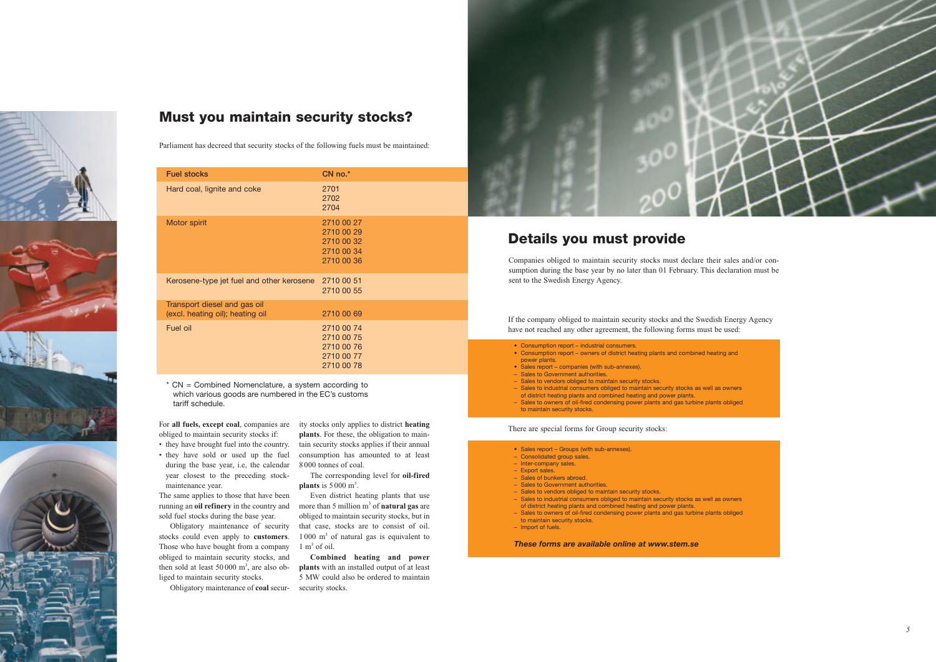Parliament has decreed that security stocks of the following fuels must be maintained:

| <b>Fuel stocks</b>                                               | $CN$ no. $*$                                                       |
|------------------------------------------------------------------|--------------------------------------------------------------------|
| Hard coal, lignite and coke                                      | 2701<br>2702<br>2704                                               |
| Motor spirit                                                     | 2710 00 27<br>2710 00 29<br>2710 00 32<br>2710 00 34<br>2710 00 36 |
| Kerosene-type jet fuel and other kerosene 2710 00 51             | 2710 00 55                                                         |
| Transport diesel and gas oil<br>(excl. heating oil); heating oil | 2710 00 69                                                         |
| Fuel oil                                                         | 2710 00 74<br>2710 00 75<br>2710 00 76<br>2710 00 77<br>2710 00 78 |

\* CN = Combined Nomenclature, a system according to which various goods are numbered in the EC's customs tariff schedule.

For **all fuels, except coal**, companies are obliged to maintain security stocks if:

> Even district heating plants that use more than 5 million m<sup>3</sup> of **natural gas** are obliged to maintain security stocks, but in that case, stocks are to consist of oil.  $1000 \text{ m}^3$  of natural gas is equivalent to  $1 \text{ m}^3$  of oil.

- they have brought fuel into the country.
- they have sold or used up the fuel during the base year, i.e, the calendar year closest to the preceding stockmaintenance year.

The same applies to those that have been running an **oil refinery** in the country and sold fuel stocks during the base year.

Obligatory maintenance of security stocks could even apply to **customers**. Those who have bought from a company obliged to maintain security stocks, and then sold at least  $50000 \text{ m}^3$ , are also obliged to maintain security stocks.

ity stocks only applies to district **heating plants**. For these, the obligation to main tain security stocks applies if their annual consumption has amounted to at least 8 000 tonnes of coal.

The corresponding level for **oil-fired <sup>p</sup>lants** is 5 000 m3.

Obligatory maintenance of **coal** secur-security stocks.

- Sales report Groups (with sub-annexes).
- Consolidated group sales.
- Inter-company sales.
- Export sales.
- Sales of bunkers abroad. – Sales to Government authorities.
- Sales to vendors obliged to maintain security stocks.
- Sales to industrial consumers obliged to maintain security stocks as well as owners
- of district heating plants and combined heating and power plants. – Sales to owners of oil-fired condensing power plants and gas turbine plants obliged
- to maintain security stocks.
- Import of fuels.

**Combined heating and power plants** with an installed output of at least 5 MW could also be ordered to maintain







Companies obliged to maintain security stocks must declare their sales and/or consumption during the base year by no later than 01 February. This declaration must be sent to the Swedish Energy Agency.

If the company obliged to maintain security stocks and the Swedish Energy Agency have not reached any other agreement, the following forms must be used:

There are special forms for Group security stocks:

# **Details you must provide**

- Consumption report industrial consumers.
- Consumption report owners of district heating plants and combined heating and power plants.
- Sales report companies (with sub-annexes).
- Sales to Government authorities.
- Sales to vendors obliged to maintain security stocks.
- Sales to industrial consumers obliged to maintain security stocks as well as owners
- of district heating plants and combined heating and power plants. – Sales to owners of oil-fired condensing power plants and gas turbine plants obliged
- to maintain security stocks.

*These forms are available online at www.stem.se*